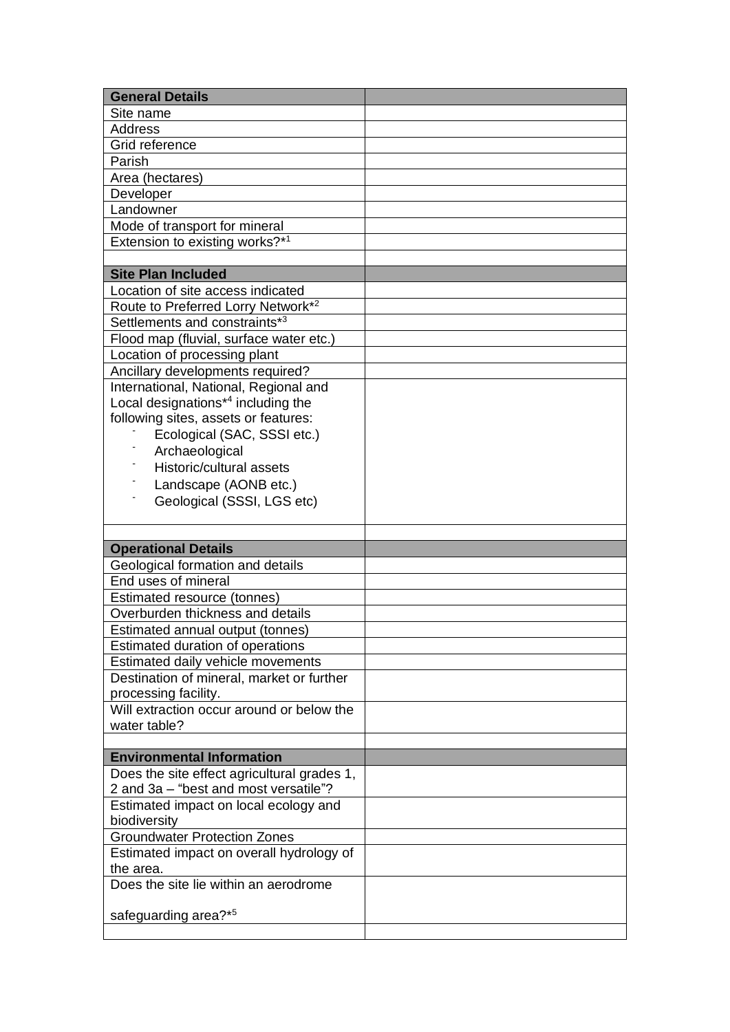| <b>General Details</b>                         |  |
|------------------------------------------------|--|
| Site name                                      |  |
| <b>Address</b>                                 |  |
| Grid reference                                 |  |
| Parish                                         |  |
| Area (hectares)                                |  |
| Developer                                      |  |
| Landowner                                      |  |
| Mode of transport for mineral                  |  |
| Extension to existing works?*1                 |  |
|                                                |  |
| <b>Site Plan Included</b>                      |  |
| Location of site access indicated              |  |
| Route to Preferred Lorry Network* <sup>2</sup> |  |
| Settlements and constraints*3                  |  |
| Flood map (fluvial, surface water etc.)        |  |
| Location of processing plant                   |  |
| Ancillary developments required?               |  |
| International, National, Regional and          |  |
| Local designations <sup>*4</sup> including the |  |
| following sites, assets or features:           |  |
| Ecological (SAC, SSSI etc.)                    |  |
| Archaeological                                 |  |
| Historic/cultural assets                       |  |
| Landscape (AONB etc.)                          |  |
| Geological (SSSI, LGS etc)                     |  |
|                                                |  |
|                                                |  |
| <b>Operational Details</b>                     |  |
| Geological formation and details               |  |
| End uses of mineral                            |  |
|                                                |  |
| Estimated resource (tonnes)                    |  |
| Overburden thickness and details               |  |
| Estimated annual output (tonnes)               |  |
| Estimated duration of operations               |  |
| <b>Estimated daily vehicle movements</b>       |  |
| Destination of mineral, market or further      |  |
| processing facility.                           |  |
| Will extraction occur around or below the      |  |
| water table?                                   |  |
|                                                |  |
| <b>Environmental Information</b>               |  |
| Does the site effect agricultural grades 1,    |  |
| 2 and 3a - "best and most versatile"?          |  |
| Estimated impact on local ecology and          |  |
| biodiversity                                   |  |
| <b>Groundwater Protection Zones</b>            |  |
| Estimated impact on overall hydrology of       |  |
| the area.                                      |  |
| Does the site lie within an aerodrome          |  |
|                                                |  |
| safeguarding area?*5                           |  |